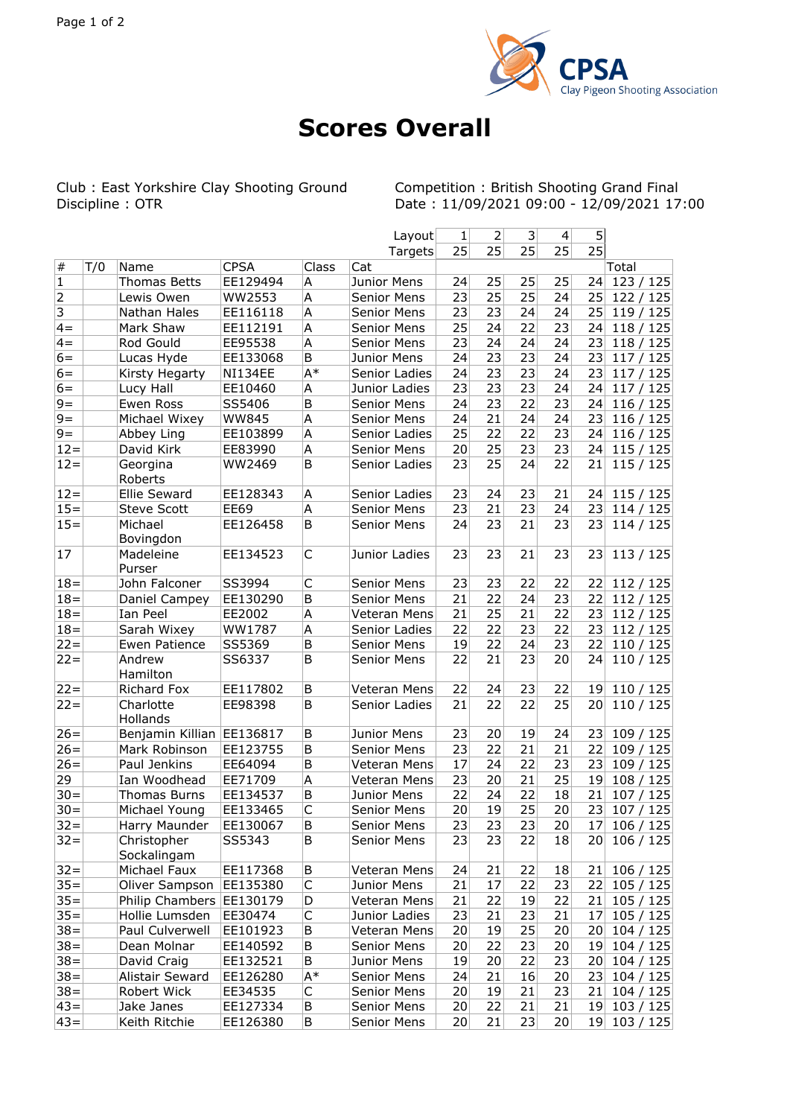

## **Scores Overall**

Club : East Yorkshire Clay Shooting Ground<br>Discipline : OTR

Competition : British Shooting Grand Final<br>Date : 11/09/2021 09:00 - 12/09/2021 17:00

|                |     |                            |                |       | Layout             | 1  | $\overline{2}$ | $\vert$ 3 | $\overline{4}$ | 5 <sub>l</sub>  |                     |
|----------------|-----|----------------------------|----------------|-------|--------------------|----|----------------|-----------|----------------|-----------------|---------------------|
|                |     |                            |                |       | Targets            | 25 | 25             | 25        | 25             | $\overline{25}$ |                     |
| $\#$           | T/0 | Name                       | <b>CPSA</b>    | Class | Cat                |    |                |           |                |                 | Total               |
| $\mathbf 1$    |     | <b>Thomas Betts</b>        | EE129494       | A     | Junior Mens        | 24 | 25             | 25        | 25             | 24              | 123/125             |
| $\overline{2}$ |     | Lewis Owen                 | WW2553         | A     | <b>Senior Mens</b> | 23 | 25             | 25        | 24             | 25 <sub>1</sub> | 122/125             |
| 3              |     | Nathan Hales               | EE116118       | A     | <b>Senior Mens</b> | 23 | 23             | 24        | 24             | 25              | 119/125             |
| $4 =$          |     | Mark Shaw                  | EE112191       | A     | Senior Mens        | 25 | 24             | 22        | 23             | 24              | 118 / 125           |
| $4 =$          |     | Rod Gould                  | EE95538        | A     | Senior Mens        | 23 | 24             | 24        | 24             | 23              | 118 / 125           |
| $6=$           |     | Lucas Hyde                 | EE133068       | B     | Junior Mens        | 24 | 23             | 23        | 24             | 23              | 117/125             |
| $6=$           |     | Kirsty Hegarty             | <b>NI134EE</b> | $A^*$ | Senior Ladies      | 24 | 23             | 23        | 24             | 23              | 117/125             |
| $6=$           |     | Lucy Hall                  | EE10460        | A     | Junior Ladies      | 23 | 23             | 23        | 24             | 24              | 117 / 125           |
| $9 =$          |     | Ewen Ross                  | SS5406         | B     | <b>Senior Mens</b> | 24 | 23             | 22        | 23             | 24              | 116/125             |
| $9 =$          |     | Michael Wixey              | <b>WW845</b>   | A     | <b>Senior Mens</b> | 24 | 21             | 24        | 24             | 23              | 116 / 125           |
| $9=$           |     | Abbey Ling                 | EE103899       | A     | Senior Ladies      | 25 | 22             | 22        | 23             | 24              | 116/125             |
| $12 =$         |     | David Kirk                 | EE83990        | Α     | Senior Mens        | 20 | 25             | 23        | 23             |                 | 24 115 / 125        |
| $12 =$         |     | Georgina<br>Roberts        | WW2469         | B     | Senior Ladies      | 23 | 25             | 24        | 22             | 21              | 115/125             |
| $12 =$         |     | <b>Ellie Seward</b>        | EE128343       | A     | Senior Ladies      | 23 | 24             | 23        | 21             | 24              | 115/125             |
| $15 =$         |     | <b>Steve Scott</b>         | EE69           | A     | Senior Mens        | 23 | 21             | 23        | 24             | 23              | 114/125             |
| $15 =$         |     | Michael<br>Bovingdon       | EE126458       | B     | Senior Mens        | 24 | 23             | 21        | 23             | 23 <sup>1</sup> | 114/125             |
| 17             |     | Madeleine<br>Purser        | EE134523       | C     | Junior Ladies      | 23 | 23             | 21        | 23             | 23              | 113/125             |
| $18 =$         |     | John Falconer              | SS3994         | C     | <b>Senior Mens</b> | 23 | 23             | 22        | 22             | 22              | 112/125             |
| $18 =$         |     | Daniel Campey              | EE130290       | B     | <b>Senior Mens</b> | 21 | 22             | 24        | 23             | 22              | 112/125             |
| $18 =$         |     | Ian Peel                   | EE2002         | Α     | Veteran Mens       | 21 | 25             | 21        | 22             | 23              | 112/125             |
| $18 =$         |     | Sarah Wixey                | WW1787         | A     | Senior Ladies      | 22 | 22             | 23        | 22             | 23              | 112/125             |
| $22 =$         |     | Ewen Patience              | SS5369         | B     | Senior Mens        | 19 | 22             | 24        | 23             | 22              | 110/125             |
| $22 =$         |     | Andrew<br>Hamilton         | SS6337         | B     | Senior Mens        | 22 | 21             | 23        | 20             | 24              | 110/125             |
| $22 =$         |     | Richard Fox                | EE117802       | B     | Veteran Mens       | 22 | 24             | 23        | 22             | 19              | 110/125             |
| $22 =$         |     | Charlotte<br>Hollands      | EE98398        | B     | Senior Ladies      | 21 | 22             | 22        | 25             | 20 <sub>1</sub> | 110/125             |
| $26=$          |     | Benjamin Killian EE136817  |                | B     | Junior Mens        | 23 | 20             | 19        | 24             | 23              | 109/125             |
| $26=$          |     | Mark Robinson              | EE123755       | B     | Senior Mens        | 23 | 22             | 21        | 21             | 22              | 109/125             |
| $26=$          |     | Paul Jenkins               | EE64094        | B     | Veteran Mens       | 17 | 24             | 22        | 23             | 23              | 109/125             |
| 29             |     | Ian Woodhead               | EE71709        | A     | Veteran Mens       | 23 | 20             | 21        | 25             | 19              | 108/125             |
| $30 =$         |     | Thomas Burns               | EE134537       | B     | Junior Mens        | 22 | 24             | 22        | 18             | 21              | 107/125             |
| $30 =$         |     | Michael Young              | EE133465       | C     | Senior Mens        | 20 | 19             | 25        | 20             |                 | 23 107 / 125        |
| $32 =$         |     | Harry Maunder              | EE130067       | B     | Senior Mens        | 23 | 23             | 23        | 20             |                 | 17 106 / 125        |
| $32 =$         |     | Christopher<br>Sockalingam | SS5343         | B     | Senior Mens        | 23 | 23             | 22        | 18             |                 | 20 106 / 125        |
| $32 =$         |     | Michael Faux               | EE117368       | B     | Veteran Mens       | 24 | 21             | 22        | 18             |                 | 21   106 / 125      |
| $35 =$         |     | Oliver Sampson             | EE135380       | C     | Junior Mens        | 21 | 17             | 22        | 23             |                 | 22 105 / 125        |
| $35 =$         |     | Philip Chambers EE130179   |                | D     | Veteran Mens       | 21 | 22             | 19        | 22             | 21              | 105 / 125           |
| $35 =$         |     | Hollie Lumsden             | EE30474        | С     | Junior Ladies      | 23 | 21             | 23        | 21             | 17              | 105/125             |
| $38 =$         |     | Paul Culverwell            | EE101923       | В     | Veteran Mens       | 20 | 19             | 25        | 20             |                 | 20 104 / 125        |
| $38 =$         |     | Dean Molnar                | EE140592       | B     | Senior Mens        | 20 | 22             | 23        | 20             |                 | 19 104 / 125        |
| $38 =$         |     | David Craig                | EE132521       | B     | Junior Mens        | 19 | 20             | 22        | 23             |                 | 20   104 / 125      |
| $38 =$         |     | Alistair Seward            | EE126280       | $A^*$ | Senior Mens        | 24 | 21             | 16        | 20             |                 | $23 \mid 104 / 125$ |
| $38 =$         |     | Robert Wick                | EE34535        | C     | Senior Mens        | 20 | 19             | 21        | 23             | 21              | 104 / 125           |
| $43=$          |     | Jake Janes                 | EE127334       | B     | Senior Mens        | 20 | 22             | 21        | 21             |                 | 19 103 / 125        |
| $43=$          |     | Keith Ritchie              | EE126380       | B     | Senior Mens        | 20 | 21             | 23        | 20             |                 | 19 103 / 125        |